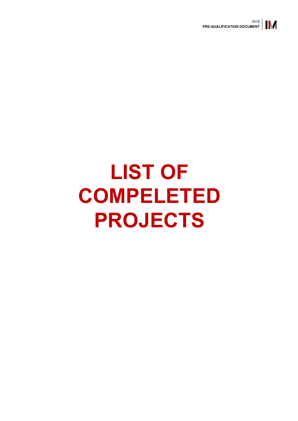

## **LIST OF COMPELETED PROJECTS**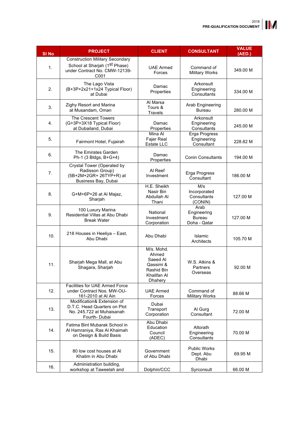| <b>SI No</b> | <b>PROJECT</b>                                                                                                               | <b>CLIENT</b>                                                                        | <b>CONSULTANT</b>                                    | <b>VALUE</b><br>(AED.) |
|--------------|------------------------------------------------------------------------------------------------------------------------------|--------------------------------------------------------------------------------------|------------------------------------------------------|------------------------|
| 1.           | <b>Construction Military Secondary</b><br>School at Sharjah (1 <sup>st</sup> Phase)<br>under Contract No. CMW-12139-<br>C001 | <b>UAE Armed</b><br>Forces                                                           | Command of<br><b>Military Works</b>                  | 349.00 M               |
| 2.           | The Lago Vista<br>(B+3P+2x21+1x24 Typical Floor)<br>at Dubai                                                                 | Damac<br>Properties                                                                  | Arkonsult<br>Engineering<br>Consultants              | 334.00 M               |
| 3.           | Zighy Resort and Marina<br>at Musandam, Oman                                                                                 | Al Marsa<br>Tours &<br>Travels                                                       | Arab Engineering<br><b>Bureau</b>                    | 280.00 M               |
| 4.           | <b>The Crescent Towers</b><br>(G+3P+3X18 Typical Floor)<br>at Dubailand, Dubai                                               | Damac<br>Properties                                                                  | Arkonsult<br>Engineering<br>Consultants              | 245.00 M               |
| 5.           | Fairmont Hotel, Fujairah                                                                                                     | Mina Al<br>Fajer Real<br>Estate LLC                                                  | Erga Progress<br>Engineering<br>Consultant           | 228.82 M               |
| 6.           | The Emirates Garden<br>Ph-1 (3 Bldgs, B+G+4)                                                                                 | Damac<br>Properties                                                                  | <b>Conin Consultants</b>                             | 194.00 M               |
| 7.           | Crystal Tower (Operated by<br>Radisson Group)<br>(5B+2M+2GR+ 26TYP+R) at<br>Business Bay, Dubai                              | Al Reef<br>Investment                                                                | Erga Progress<br>Consultant                          | 186.00 M               |
| 8.           | G+M+6P+26 at Al Majaz,<br>Sharjah                                                                                            | H.E. Sheikh<br>Nasir Bin<br>Abdullah Al<br>Thani                                     | M/s<br>Incorporated<br>Consultants<br>(CONIN)        | 127.00 M               |
| 9.           | 100 Luxury Marina<br>Residential Villas at Abu Dhabi<br><b>Break Water</b>                                                   | National<br>Investment<br>Corporation                                                | Arab<br>Engineering<br><b>Bureau</b><br>Doha - Qatar | 127.00 M               |
| 10.          | 218 Houses in Heeliya - East,<br>Abu Dhabi                                                                                   | Abu Dhabi                                                                            | Islamic<br>Architects                                | 105.70 M               |
| 11.          | Sharjah Mega Mall, at Abu<br>Shagara, Sharjah                                                                                | M/s. Mohd.<br>Ahmed<br>Saeed Al<br>Qassimi &<br>Rashid Bin<br>Khalifan Al<br>Dhahery | W.S. Atkins &<br>Partners<br>Overseas                | 92.00 M                |
| 12.          | <b>Facilities for UAE Armed Force</b><br>under Contract Nos. MW-OU-<br>161-2010 at Al Ain                                    | <b>UAE Armed</b><br>Forces                                                           | Command of<br><b>Military Works</b>                  | 88.66 M                |
| 13.          | Modification& Extension of<br>D.T.C. Head Quarters on Plot<br>No. 245.722 at Muhaisanah<br>Fourth-Dubai                      | Dubai<br>Transport<br>Corporation                                                    | Al Gurg<br>Consultant                                | 72.00 M                |
| 14.          | Fatima Bint Mubarak School in<br>Al Hamraniya, Ras Al Khaimah<br>on Design & Build Basis                                     | Abu Dhabi<br>Education<br>Council<br>(ADEC)                                          | Altorath<br>Engineering<br>Consultants               | 70.00 M                |
| 15.          | 80 low cost houses at Al<br>Khatim in Abu Dhabi                                                                              | Government<br>of Abu Dhabi                                                           | <b>Public Works</b><br>Dept. Abu<br>Dhabi            | 69.95 M                |
| 16.          | Administration building,<br>workshop at Taweelah and                                                                         | Dolphin/CCC                                                                          | Syrconsult                                           | 66.00 M                |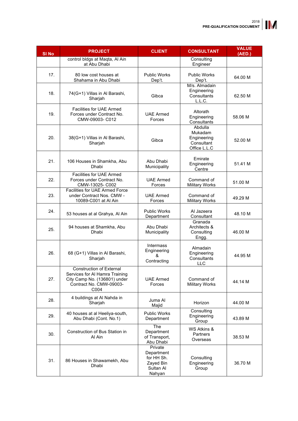| <b>SI No</b> | <b>PROJECT</b>                                                                                                                | <b>CLIENT</b>                                                           | <b>CONSULTANT</b>                                               | <b>VALUE</b><br>(AED.) |
|--------------|-------------------------------------------------------------------------------------------------------------------------------|-------------------------------------------------------------------------|-----------------------------------------------------------------|------------------------|
|              | control bldgs at Maqta, Al Ain<br>at Abu Dhabi                                                                                |                                                                         | Consulting<br>Engineer                                          |                        |
| 17.          | 80 low cost houses at<br>Shahama in Abu Dhabi                                                                                 | <b>Public Works</b><br>Dep't.                                           | <b>Public Works</b><br>Dep't.                                   | 64.00 M                |
| 18.          | 74(G+1) Villas in Al Barashi,<br>Sharjah                                                                                      | Gibca                                                                   | M/s. Almadain<br>Engineering<br>Consultants<br>L.L.C.           | 62.50 M                |
| 19.          | <b>Facilities for UAE Armed</b><br>Forces under Contract No.<br>CMW-09003- C012                                               | <b>UAE Armed</b><br>Forces                                              | Altorath<br>Engineering<br>Consultants                          | 58.06 M                |
| 20.          | 38(G+1) Villas in Al Barashi,<br>Sharjah                                                                                      | Gibca                                                                   | Abdulla<br>Mukadam<br>Engineering<br>Consultant<br>Office L.L.C | 52.00 M                |
| 21.          | 106 Houses in Shamkha, Abu<br>Dhabi                                                                                           | Abu Dhabi<br>Municipality                                               | Emirate<br>Engineering<br>Centre                                | 51.41 M                |
| 22.          | Facilities for UAE Armed<br>Forces under Contract No.<br>CMW-13025- C002                                                      | <b>UAE Armed</b><br>Forces                                              | Command of<br><b>Military Works</b>                             | 51.00 M                |
| 23.          | Facilities for UAE Armed Force<br>under Contract Nos. CMW -<br>10089-C001 at Al Ain                                           | <b>UAE Armed</b><br>Forces                                              | Command of<br><b>Military Works</b>                             | 49.29 M                |
| 24.          | 53 houses at al Grahya, Al Ain                                                                                                | <b>Public Works</b><br>Department                                       | Al Jazeera<br>Consultant                                        | 48.10 M                |
| 25.          | 94 houses at Shamkha, Abu<br>Dhabi                                                                                            | Abu Dhabi<br>Municipality                                               | Granada<br>Architects &<br>Consulting<br>Engg.                  | 46.00 M                |
| 26.          | 68 (G+1) Villas in Al Barashi,<br>Sharjah                                                                                     | Intermass<br>Engineering<br>&<br>Contracting                            | Almadain<br>Engineering<br>Consultants<br><b>LLC</b>            | 44.95 M                |
| 27.          | Construction of External<br>Services for Al Hamra Training<br>City Camp No. (136801) under<br>Contract No. CMW-09003-<br>C004 | <b>UAE Armed</b><br>Forces                                              | Command of<br><b>Military Works</b>                             | 44.14 M                |
| 28.          | 4 buildings at Al Nahda in<br>Sharjah                                                                                         | Juma Al<br>Majid                                                        | Horizon                                                         | 44.00 M                |
| 29.          | 40 houses at al Heeliya-south,<br>Abu Dhabi (Cont. No.1)                                                                      | <b>Public Works</b><br>Department                                       | Consulting<br>Engineering<br>Group                              | 43.89 M                |
| 30.          | Construction of Bus Station in<br>Al Ain                                                                                      | The<br>Department<br>of Transport,<br>Abu Dhabi                         | WS Atkins &<br>Partners<br>Overseas                             | 38.53 M                |
| 31.          | 86 Houses in Shawamekh, Abu<br>Dhabi                                                                                          | Private<br>Department<br>for HH Sh.<br>Zayed Bin<br>Sultan Al<br>Nahyan | Consulting<br>Engineering<br>Group                              | 36.70 M                |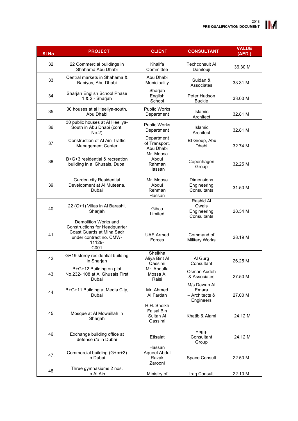| <b>SI No</b> | <b>PROJECT</b>                                                                                                                         | <b>CLIENT</b>                                            | <b>CONSULTANT</b>                                    | <b>VALUE</b><br>(AED.) |
|--------------|----------------------------------------------------------------------------------------------------------------------------------------|----------------------------------------------------------|------------------------------------------------------|------------------------|
| 32.          | 22 Commercial buildings in<br>Shahama Abu Dhabi                                                                                        | Khalifa<br>Committee                                     | <b>Techconsult AI</b><br>Damlouji                    | 36.30 M                |
| 33.          | Central markets in Shahama &<br>Baniyas, Abu Dhabi                                                                                     | Abu Dhabi<br>Municipality                                | Suidan &<br>Associates                               | 33.31 M                |
| 34.          | Sharjah English School Phase<br>1 & 2 - Sharjah                                                                                        | Sharjah<br>English<br>School                             | Peter Hudson<br><b>Buckle</b>                        | 33.00 M                |
| 35.          | 30 houses at al Heeliya-south,<br>Abu Dhabi                                                                                            | <b>Public Works</b><br>Department                        | Islamic<br>Architect                                 | 32.81 M                |
| 36.          | 30 public houses at Al Heeliya-<br>South in Abu Dhabi (cont.<br>No.2)                                                                  | <b>Public Works</b><br>Department                        | Islamic<br>Architect                                 | 32.81 M                |
| 37.          | <b>Construction of Al Ain Traffic</b><br><b>Management Center</b>                                                                      | Department<br>of Transport,<br>Abu Dhabi                 | IBI Group, Abu<br>Dhabi                              | 32.74 M                |
| 38.          | B+G+3 residential & recreation<br>building in al Ghusais, Dubai                                                                        | Mr. Moosa<br>Abdul<br>Rahman<br>Hassan                   | Copenhagen<br>Group                                  | 32.25 M                |
| 39.          | Garden city Residential<br>Development at Al Muteena,<br>Dubai                                                                         | Mr. Moosa<br>Abdul<br>Rehman<br>Hassan                   | Dimensions<br>Engineering<br>Consultants             | 31.50 M                |
| 40.          | 22 (G+1) Villas in Al Barashi,<br>Sharjah                                                                                              | Gibca<br>Limited                                         | Rashid Al<br>Owais<br>Engineering<br>Consultants     | 28,34 M                |
| 41.          | Demolition Works and<br><b>Constructions for Headquarter</b><br>Coast Guards at Mina Sadr<br>under contract no. CMW-<br>11129-<br>C001 | <b>UAE Armed</b><br>Forces                               | Command of<br><b>Military Works</b>                  | 28.19 M                |
| 42.          | G+19 storey residential building<br>in Sharjah                                                                                         | Sheikha<br>Aliya Bint Al<br>Qassimi                      | Al Gurg<br>Consultant                                | 26.25 M                |
| 43.          | B+G+12 Building on plot<br>No.232- 108 at Al Ghusais First<br>Dubai                                                                    | Mr. Abdulla<br>Mossa Al<br>Raisi                         | Osman Audeh<br>& Associates                          | 27.50 M                |
| 44.          | B+G+11 Building at Media City,<br>Dubai                                                                                                | Mr. Ahmed<br>Al Fardan                                   | M/s Dewan Al<br>Emara<br>- Architects &<br>Engineers | 27.00 M                |
| 45.          | Mosque at Al Mowaillah in<br>Sharjah                                                                                                   | H.H. Sheikh<br><b>Faisal Bin</b><br>Sultan Al<br>Qassimi | Khatib & Alami                                       | 24.12 M                |
| 46.          | Exchange building office at<br>defense r/a in Dubai                                                                                    | Etisalat                                                 | Engg.<br>Consultant<br>Group                         | 24.12 M                |
| 47.          | Commercial building (G+m+3)<br>in Dubai                                                                                                | Hassan<br>Aqueel Abdul<br>Razak<br>Zarooni               | Space Consult                                        | 22.50 M                |
| 48.          | Three gymnasiums 2 nos.<br>in Al Ain                                                                                                   | Ministry of                                              | Iraq Consult                                         | 22.10 M                |